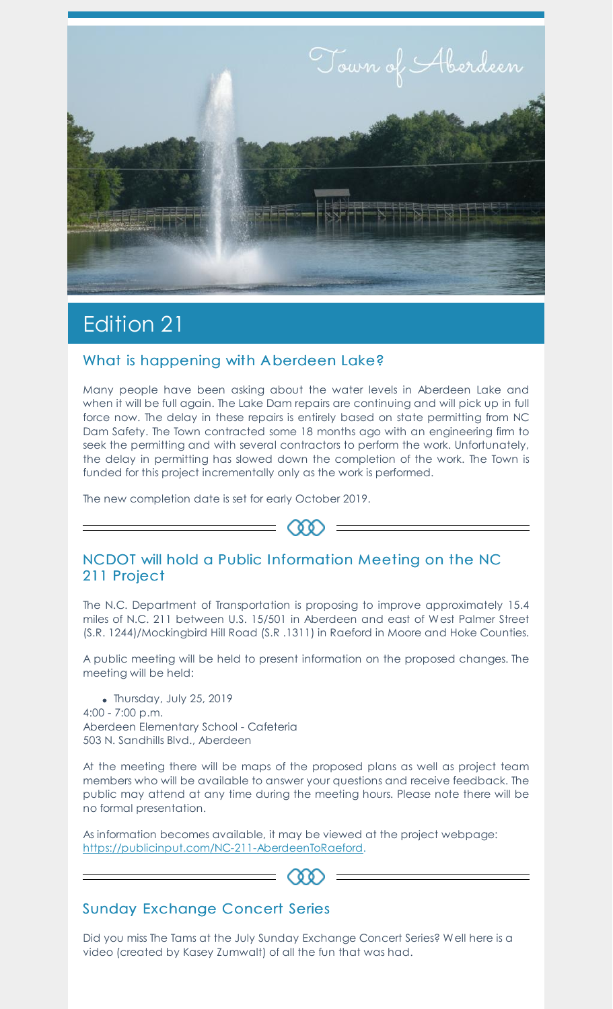

# Edition 21

### What is happening with A berdeen Lake?

Many people have been asking about the water levels in Aberdeen Lake and when it will be full again. The Lake Dam repairs are continuing and will pick up in full force now. The delay in these repairs is entirely based on state permitting from NC Dam Safety. The Town contracted some 18 months ago with an engineering firm to seek the permitting and with several contractors to perform the work. Unfortunately, the delay in permitting has slowed down the completion of the work. The Town is funded for this project incrementally only as the work is performed.

The new completion date is set for early October 2019.

### NCDOT will hold a Public Information Meeting on the NC 211 Project

 $=$   $\infty$  =

The N.C. Department of Transportation is proposing to improve approximately 15.4 miles of N.C. 211 between U.S. 15/501 in Aberdeen and east of West Palmer Street (S.R. 1244)/Mockingbird Hill Road (S.R .1311) in Raeford in Moore and Hoke Counties.

A public meeting will be held to present information on the proposed changes. The meeting will be held:

Thursday, July 25, 2019 4:00 - 7:00 p.m. Aberdeen Elementary School - Cafeteria 503 N. Sandhills Blvd., Aberdeen

At the meeting there will be maps of the proposed plans as well as project team members who will be available to answer your questions and receive feedback. The public may attend at any time during the meeting hours. Please note there will be no formal presentation.

As information becomes available, it may be viewed at the project webpage: <https://publicinput.com/NC-211-AberdeenToRaeford>.

# $(\delta \delta)$

# Sunday Exchange Concert Series

Did you miss The Tams at the July Sunday Exchange Concert Series? Well here is a video (created by Kasey Zumwalt) of all the fun that was had.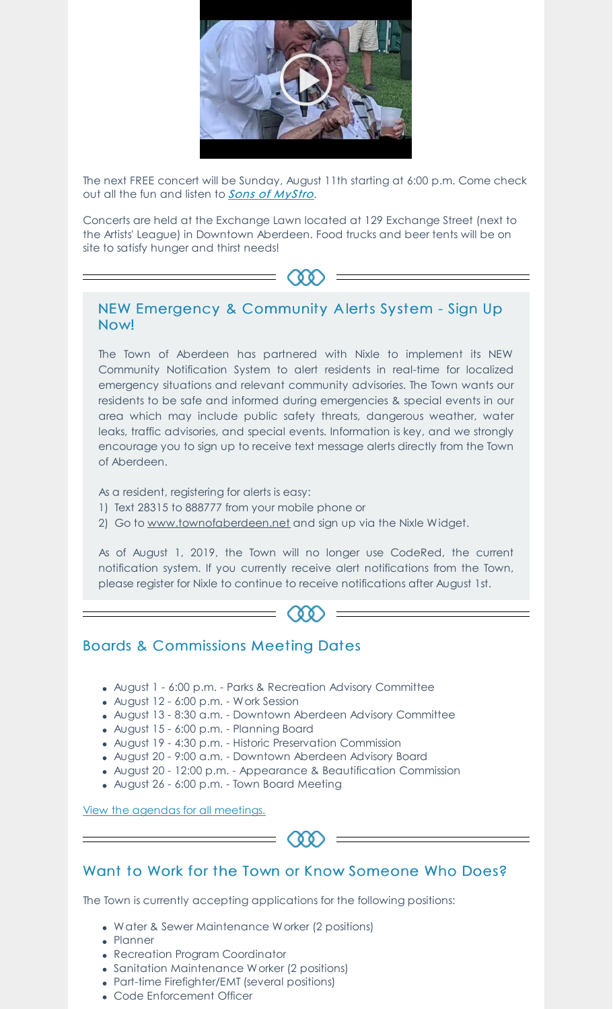

The next FREE concert will be Sunday, August 11th starting at 6:00 p.m. Come check out all the fun and listen to **Sons of [MyStro](https://www.facebook.com/pg/SonsofMystro/videos/?ref=page_internal).** 

Concerts are held at the Exchange Lawn located at 129 Exchange Street (next to the Artists' League) in Downtown Aberdeen. Food trucks and beer tents will be on site to satisfy hunger and thirst needs!

# ത

#### NEW Emergency & Community A lerts Sy stem - Sign Up Now!

The Town of Aberdeen has partnered with Nixle to implement its NEW Community Notification System to alert residents in real-time for localized emergency situations and relevant community advisories. The Town wants our residents to be safe and informed during emergencies & special events in our area which may include public safety threats, dangerous weather, water leaks, traffic advisories, and special events. Information is key, and we strongly encourage you to sign up to receive text message alerts directly from the Town of Aberdeen.

As a resident, registering for alerts is easy:

- 1) Text 28315 to 888777 from your mobile phone or
- 2) Go to [www.townofaberdeen.net](https://aberdeen.municipalcms.com/newsview.aspx?nid=5937) and sign up via the Nixle Widget.

As of August 1, 2019, the Town will no longer use CodeRed, the current notification system. If you currently receive alert notifications from the Town, please register for Nixle to continue to receive notifications after August 1st.

# (00)

### Boards & Commissions Meeting Dates

- August 1 6:00 p.m. Parks & Recreation Advisory Committee
- August 12 6:00 p.m. Work Session
- August 13 8:30 a.m. Downtown Aberdeen Advisory Committee
- August 15 6:00 p.m. Planning Board
- August 19 4:30 p.m. Historic Preservation Commission
- August 20 9:00 a.m. Downtown Aberdeen Advisory Board
- August 20 12:00 p.m. Appearance & Beautification Commission
- August 26 6:00 p.m. Town Board Meeting

View the agendas for all [meetings.](https://aberdeen.municipalcms.com/agenda.aspx?id=2146&catid=29)



# Want to Work for the Town or Know Someone Who Does?

The Town is currently accepting applications for the following positions:

- Water & Sewer Maintenance Worker (2 positions)
- Planner
- Recreation Program Coordinator
- Sanitation Maintenance Worker (2 positions)
- Part-time Firefighter/EMT (several positions)
- Code Enforcement Officer